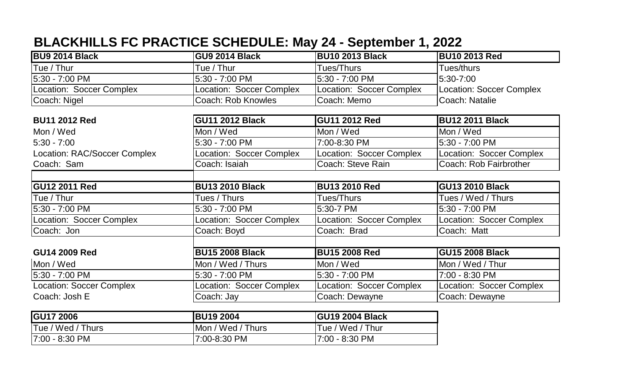## **BLACKHILLS FC PRACTICE SCHEDULE: May 24 - September 1, 2022**

| <b>BU9 2014 Black</b>               | <b>GU9 2014 Black</b>     | <b>BU10 2013 Black</b>          | <b>BU10 2013 Red</b>            |
|-------------------------------------|---------------------------|---------------------------------|---------------------------------|
| Tue / Thur                          | Tue / Thur                | Tues/Thurs                      | Tues/thurs                      |
| 5:30 - 7:00 PM                      | 5:30 - 7:00 PM            | 5:30 - 7:00 PM                  | 5:30-7:00                       |
| Location: Soccer Complex            | Location: Soccer Complex  | Location: Soccer Complex        | <b>Location: Soccer Complex</b> |
| Coach: Nigel                        | <b>Coach: Rob Knowles</b> | Coach: Memo                     | Coach: Natalie                  |
|                                     |                           |                                 |                                 |
| <b>BU11 2012 Red</b>                | <b>GU11 2012 Black</b>    | <b>GU11 2012 Red</b>            | <b>BU12 2011 Black</b>          |
| Mon / Wed                           | Mon / Wed                 | Mon / Wed                       | Mon / Wed                       |
| $5:30 - 7:00$                       | 5:30 - 7:00 PM            | 7:00-8:30 PM                    | 5:30 - 7:00 PM                  |
| <b>Location: RAC/Soccer Complex</b> | Location: Soccer Complex  | Location: Soccer Complex        | Location: Soccer Complex        |
| Coach: Sam                          | Coach: Isaiah             | Coach: Steve Rain               | Coach: Rob Fairbrother          |
|                                     |                           |                                 |                                 |
| <b>GU12 2011 Red</b>                | <b>BU13 2010 Black</b>    | <b>BU13 2010 Red</b>            | <b>GU13 2010 Black</b>          |
| Tue / Thur                          | Tues / Thurs              | Tues/Thurs                      | Tues / Wed / Thurs              |
| 5:30 - 7:00 PM                      | 5:30 - 7:00 PM            | 5:30-7 PM                       | 5:30 - 7:00 PM                  |
| Location: Soccer Complex            | Location: Soccer Complex  | <b>Location: Soccer Complex</b> | Location: Soccer Complex        |
| Coach: Jon                          | Coach: Boyd               | Coach: Brad                     | Coach: Matt                     |
|                                     |                           |                                 |                                 |
| <b>GU14 2009 Red</b>                | <b>BU15 2008 Black</b>    | <b>BU15 2008 Red</b>            | <b>GU15 2008 Black</b>          |
| Mon / Wed                           | Mon / Wed / Thurs         | Mon / Wed                       | Mon / Wed / Thur                |
| 5:30 - 7:00 PM                      | 5:30 - 7:00 PM            | 5:30 - 7:00 PM                  | 7:00 - 8:30 PM                  |
| <b>Location: Soccer Complex</b>     | Location: Soccer Complex  | Location: Soccer Complex        | Location: Soccer Complex        |
|                                     |                           |                                 |                                 |
| Coach: Josh E                       | Coach: Jay                | Coach: Dewayne                  | Coach: Dewayne                  |

| <b>IGU17 2006</b> | <b>IBU19 2004</b> | <b>GU19 2004 Black</b> |
|-------------------|-------------------|------------------------|
| Tue / Wed / Thurs | Mon / Wed / Thurs | Tue / Wed / Thur       |
| $ 7:00 - 8:30$ PM | 17:00-8:30 PM     | 17:00 - 8:30 PM        |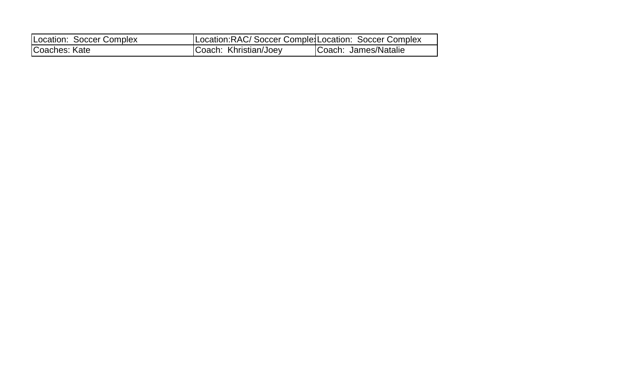| Location: Soccer Complex | Location: RAC/ Soccer Comple: Location: Soccer Complex |                      |
|--------------------------|--------------------------------------------------------|----------------------|
| Coaches: Kate            | Coach: Khristian/Joey                                  | Coach: James/Natalie |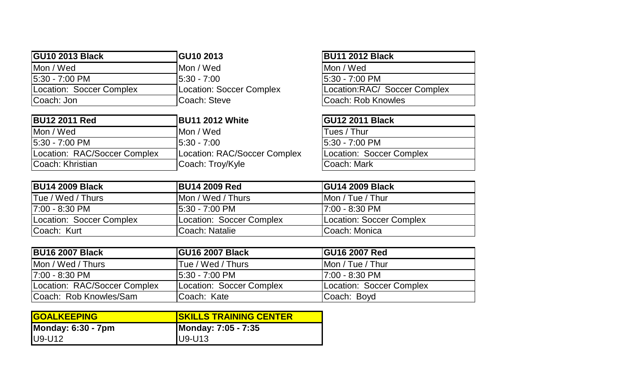| <b>GU10 2013 Black</b>   | <b>GU10 2013</b>         | <b>BU11 2012 Black</b>        |
|--------------------------|--------------------------|-------------------------------|
| Mon / Wed                | IMon / Wed               | IMon / Wed                    |
| 15:30 - 7:00 PM          | $15:30 - 7:00$           | 15:30 - 7:00 PM               |
| Location: Soccer Complex | Location: Soccer Complex | Location: RAC/ Soccer Complex |
| Coach: Jon               | <b>ICoach: Steve</b>     | Coach: Rob Knowles            |

| <b>BU12 2011 Red</b>         | <b>BU11 2012 White</b>       | <b>GU12 2011 Black</b>   |
|------------------------------|------------------------------|--------------------------|
| Mon / Wed                    | IMon / Wed                   | Tues / Thur              |
| 5:30 - 7:00 PM               | $15:30 - 7:00$               | 15:30 - 7:00 PM          |
| Location: RAC/Soccer Complex | Location: RAC/Soccer Complex | Location: Soccer Complex |
| Coach: Khristian             | Coach: Troy/Kyle             | Coach: Mark              |

| <b>BU11 2012 Black</b>       |
|------------------------------|
| Mon / Wed                    |
| 5:30 - 7:00 PM               |
| Location:RAC/ Soccer Complex |
| Coach: Rob Knowles           |

| <b>GU12 2011 Black</b>   |
|--------------------------|
| Tues / Thur              |
| 5:30 - 7:00 PM           |
| Location: Soccer Complex |
| Coach: Mark              |

| <b>BU14 2009 Black</b>    | <b>BU14 2009 Red</b>     | <b>IGU14 2009 Black</b>  |
|---------------------------|--------------------------|--------------------------|
| <b>ITue / Wed / Thurs</b> | IMon / Wed / Thurs       | IMon / Tue / Thur        |
| 17:00 - 8:30 PM           | 15:30 - 7:00 PM          | I7:00 - 8:30 PM          |
| Location: Soccer Complex  | Location: Soccer Complex | Location: Soccer Complex |
| <b>Coach: Kurt</b>        | Coach: Natalie           | Coach: Monica            |

| <b>BU16 2007 Black</b>         | <b>GU16 2007 Black</b>   | <b>GU16 2007 Red</b>             |
|--------------------------------|--------------------------|----------------------------------|
| Mon / Wed / Thurs              | Tue / Wed / Thurs        | Mon / Tue / Thur                 |
| 17:00 - 8:30 PM                | 15:30 - 7:00 PM          | 17:00 - 8:30 PM                  |
| Location: RAC/Soccer Complex   | Location: Soccer Complex | <b>ILocation: Soccer Complex</b> |
| <b>ICoach: Rob Knowles/Sam</b> | ICoach: Kate             | Coach: Boyd                      |

| <b>GOALKEEPING</b>        | <b>ISKILLS TRAINING CENTER</b> |
|---------------------------|--------------------------------|
| <b>Monday: 6:30 - 7pm</b> | Monday: 7:05 - 7:35            |
| $U9-U12$                  | $IUI9-U13$                     |